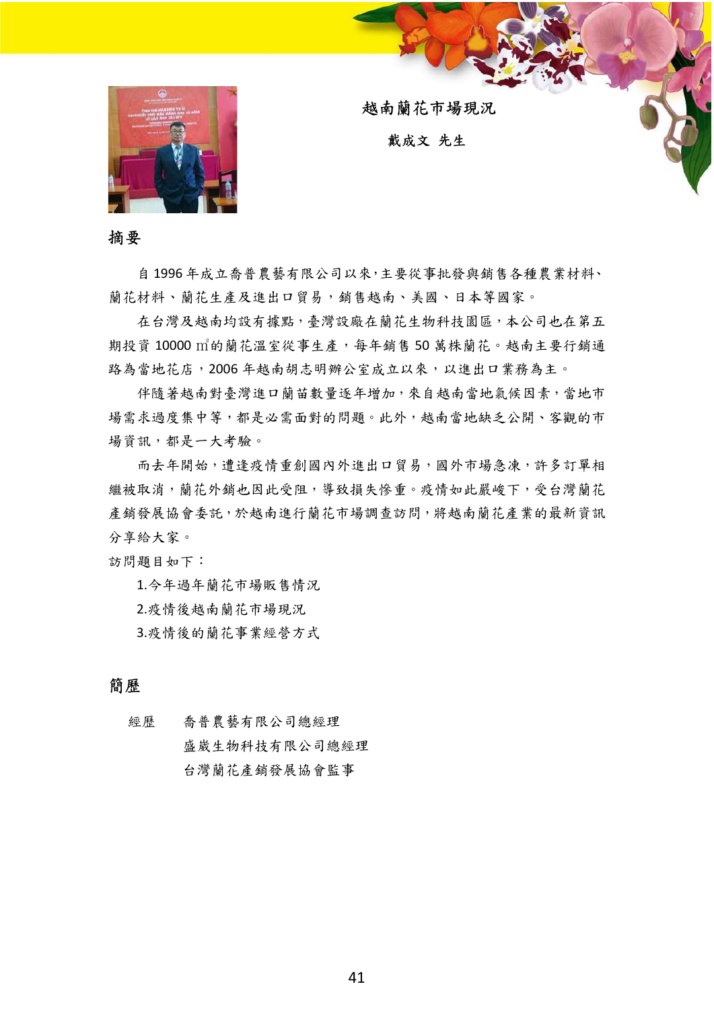

越南蘭花市場現況

戴成文 先生

摘要

自 1996 年成立喬普農藝有限公司以來,主要從事批發與銷售各種農業材料、 蘭花材料、蘭花生產及進出口貿易,銷售越南、美國、日本等國家。

在台灣及越南均設有據點,臺灣設廠在蘭花生物科技園區,本公司也在第五 期投資 10000 ㎡的蘭花溫室從事生產,每年銷售 50 萬株蘭花。越南主要行銷通 路為當地花店,2006 年越南胡志明辦公室成立以來,以進出口業務為主。

伴隨著越南對臺灣進口蘭苗數量逐年增加,來自越南當地氣候因素,當地市 場需求過度集中等,都是必需面對的問題。此外,越南當地缺乏公開、客觀的市 場資訊,都是一大考驗。

而去年開始,遭逢疫情重創國內外進出口貿易,國外市場急凍,許多訂單相 繼被取消,蘭花外銷也因此受阻,導致損失慘重。疫情如此嚴峻下,受台灣蘭花 產銷發展協會委託,於越南進行蘭花市場調查訪問,將越南蘭花產業的最新資訊 分享給大家。

訪問題目如下:

1.今年過年蘭花市場販售情況

2.疫情後越南蘭花市場現況

3.疫情後的蘭花事業經營方式

## 簡歷

經歷 喬普農藝有限公司總經理 盛崴生物科技有限公司總經理 台灣蘭花產銷發展協會監事